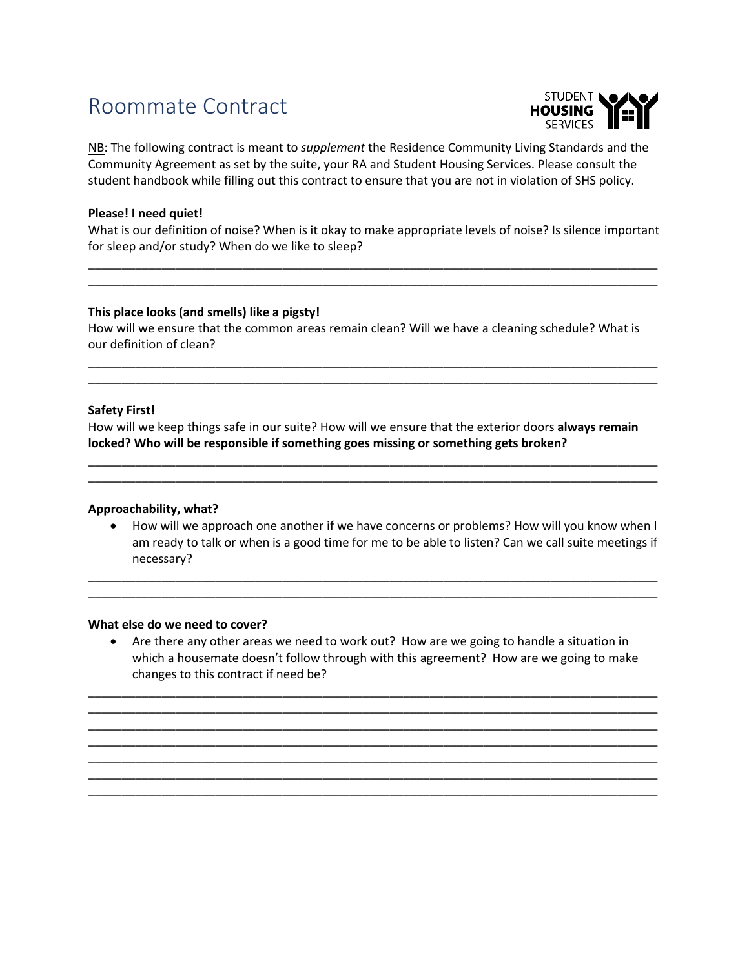# Roommate Contract



NB: The following contract is meant to *supplement* the Residence Community Living Standards and the Community Agreement as set by the suite, your RA and Student Housing Services. Please consult the student handbook while filling out this contract to ensure that you are not in violation of SHS policy.

## **Please! I need quiet!**

What is our definition of noise? When is it okay to make appropriate levels of noise? Is silence important for sleep and/or study? When do we like to sleep?

\_\_\_\_\_\_\_\_\_\_\_\_\_\_\_\_\_\_\_\_\_\_\_\_\_\_\_\_\_\_\_\_\_\_\_\_\_\_\_\_\_\_\_\_\_\_\_\_\_\_\_\_\_\_\_\_\_\_\_\_\_\_\_\_\_\_\_\_\_\_\_\_\_\_\_\_\_\_\_\_\_\_\_\_\_ \_\_\_\_\_\_\_\_\_\_\_\_\_\_\_\_\_\_\_\_\_\_\_\_\_\_\_\_\_\_\_\_\_\_\_\_\_\_\_\_\_\_\_\_\_\_\_\_\_\_\_\_\_\_\_\_\_\_\_\_\_\_\_\_\_\_\_\_\_\_\_\_\_\_\_\_\_\_\_\_\_\_\_\_\_

#### **This place looks (and smells) like a pigsty!**

How will we ensure that the common areas remain clean? Will we have a cleaning schedule? What is our definition of clean?

\_\_\_\_\_\_\_\_\_\_\_\_\_\_\_\_\_\_\_\_\_\_\_\_\_\_\_\_\_\_\_\_\_\_\_\_\_\_\_\_\_\_\_\_\_\_\_\_\_\_\_\_\_\_\_\_\_\_\_\_\_\_\_\_\_\_\_\_\_\_\_\_\_\_\_\_\_\_\_\_\_\_\_\_\_ \_\_\_\_\_\_\_\_\_\_\_\_\_\_\_\_\_\_\_\_\_\_\_\_\_\_\_\_\_\_\_\_\_\_\_\_\_\_\_\_\_\_\_\_\_\_\_\_\_\_\_\_\_\_\_\_\_\_\_\_\_\_\_\_\_\_\_\_\_\_\_\_\_\_\_\_\_\_\_\_\_\_\_\_\_

## **Safety First!**

How will we keep things safe in our suite? How will we ensure that the exterior doors **always remain locked? Who will be responsible if something goes missing or something gets broken?**

\_\_\_\_\_\_\_\_\_\_\_\_\_\_\_\_\_\_\_\_\_\_\_\_\_\_\_\_\_\_\_\_\_\_\_\_\_\_\_\_\_\_\_\_\_\_\_\_\_\_\_\_\_\_\_\_\_\_\_\_\_\_\_\_\_\_\_\_\_\_\_\_\_\_\_\_\_\_\_\_\_\_\_\_\_ \_\_\_\_\_\_\_\_\_\_\_\_\_\_\_\_\_\_\_\_\_\_\_\_\_\_\_\_\_\_\_\_\_\_\_\_\_\_\_\_\_\_\_\_\_\_\_\_\_\_\_\_\_\_\_\_\_\_\_\_\_\_\_\_\_\_\_\_\_\_\_\_\_\_\_\_\_\_\_\_\_\_\_\_\_

#### **Approachability, what?**

• How will we approach one another if we have concerns or problems? How will you know when I am ready to talk or when is a good time for me to be able to listen? Can we call suite meetings if necessary?

\_\_\_\_\_\_\_\_\_\_\_\_\_\_\_\_\_\_\_\_\_\_\_\_\_\_\_\_\_\_\_\_\_\_\_\_\_\_\_\_\_\_\_\_\_\_\_\_\_\_\_\_\_\_\_\_\_\_\_\_\_\_\_\_\_\_\_\_\_\_\_\_\_\_\_\_\_\_\_\_\_\_\_\_\_ \_\_\_\_\_\_\_\_\_\_\_\_\_\_\_\_\_\_\_\_\_\_\_\_\_\_\_\_\_\_\_\_\_\_\_\_\_\_\_\_\_\_\_\_\_\_\_\_\_\_\_\_\_\_\_\_\_\_\_\_\_\_\_\_\_\_\_\_\_\_\_\_\_\_\_\_\_\_\_\_\_\_\_\_\_

#### **What else do we need to cover?**

• Are there any other areas we need to work out? How are we going to handle a situation in which a housemate doesn't follow through with this agreement? How are we going to make changes to this contract if need be?

\_\_\_\_\_\_\_\_\_\_\_\_\_\_\_\_\_\_\_\_\_\_\_\_\_\_\_\_\_\_\_\_\_\_\_\_\_\_\_\_\_\_\_\_\_\_\_\_\_\_\_\_\_\_\_\_\_\_\_\_\_\_\_\_\_\_\_\_\_\_\_\_\_\_\_\_\_\_\_\_\_\_\_\_\_ \_\_\_\_\_\_\_\_\_\_\_\_\_\_\_\_\_\_\_\_\_\_\_\_\_\_\_\_\_\_\_\_\_\_\_\_\_\_\_\_\_\_\_\_\_\_\_\_\_\_\_\_\_\_\_\_\_\_\_\_\_\_\_\_\_\_\_\_\_\_\_\_\_\_\_\_\_\_\_\_\_\_\_\_\_ \_\_\_\_\_\_\_\_\_\_\_\_\_\_\_\_\_\_\_\_\_\_\_\_\_\_\_\_\_\_\_\_\_\_\_\_\_\_\_\_\_\_\_\_\_\_\_\_\_\_\_\_\_\_\_\_\_\_\_\_\_\_\_\_\_\_\_\_\_\_\_\_\_\_\_\_\_\_\_\_\_\_\_\_\_ \_\_\_\_\_\_\_\_\_\_\_\_\_\_\_\_\_\_\_\_\_\_\_\_\_\_\_\_\_\_\_\_\_\_\_\_\_\_\_\_\_\_\_\_\_\_\_\_\_\_\_\_\_\_\_\_\_\_\_\_\_\_\_\_\_\_\_\_\_\_\_\_\_\_\_\_\_\_\_\_\_\_\_\_\_ \_\_\_\_\_\_\_\_\_\_\_\_\_\_\_\_\_\_\_\_\_\_\_\_\_\_\_\_\_\_\_\_\_\_\_\_\_\_\_\_\_\_\_\_\_\_\_\_\_\_\_\_\_\_\_\_\_\_\_\_\_\_\_\_\_\_\_\_\_\_\_\_\_\_\_\_\_\_\_\_\_\_\_\_\_ \_\_\_\_\_\_\_\_\_\_\_\_\_\_\_\_\_\_\_\_\_\_\_\_\_\_\_\_\_\_\_\_\_\_\_\_\_\_\_\_\_\_\_\_\_\_\_\_\_\_\_\_\_\_\_\_\_\_\_\_\_\_\_\_\_\_\_\_\_\_\_\_\_\_\_\_\_\_\_\_\_\_\_\_\_ \_\_\_\_\_\_\_\_\_\_\_\_\_\_\_\_\_\_\_\_\_\_\_\_\_\_\_\_\_\_\_\_\_\_\_\_\_\_\_\_\_\_\_\_\_\_\_\_\_\_\_\_\_\_\_\_\_\_\_\_\_\_\_\_\_\_\_\_\_\_\_\_\_\_\_\_\_\_\_\_\_\_\_\_\_